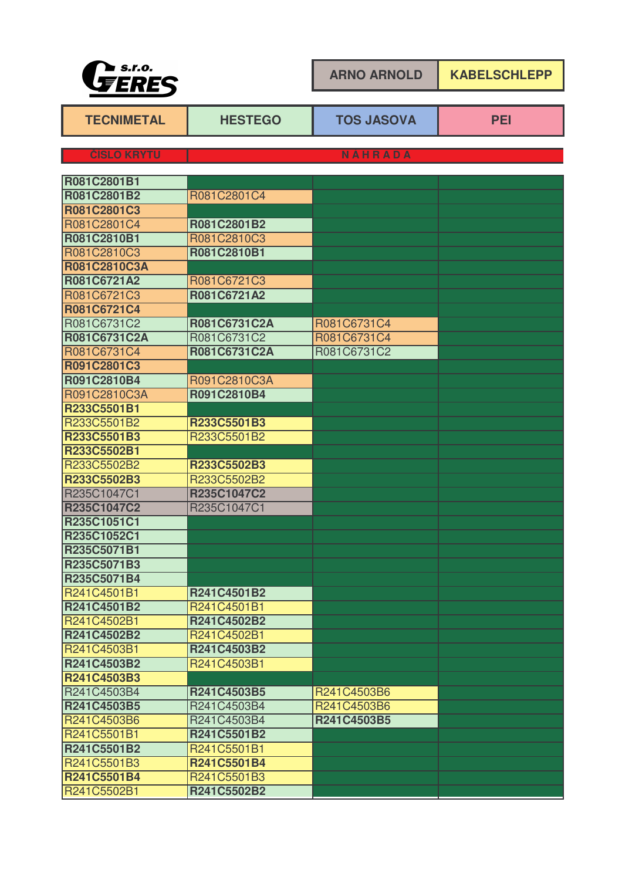

**ARNO ARNOLD KABELSCHLEPP**

| <b>TECNIMETAL</b>  | <b>HESTEGO</b> | <b>TOS JASOVA</b> | <b>PEI</b> |  |
|--------------------|----------------|-------------------|------------|--|
| <b>ČÍSLO KRYTU</b> | NÁHRADA        |                   |            |  |
| R081C2801B1        |                |                   |            |  |
| R081C2801B2        | R081C2801C4    |                   |            |  |
| R081C2801C3        |                |                   |            |  |
| R081C2801C4        | R081C2801B2    |                   |            |  |
| R081C2810B1        | R081C2810C3    |                   |            |  |
| R081C2810C3        | R081C2810B1    |                   |            |  |
| R081C2810C3A       |                |                   |            |  |
| R081C6721A2        | R081C6721C3    |                   |            |  |
| R081C6721C3        | R081C6721A2    |                   |            |  |
| R081C6721C4        |                |                   |            |  |
| R081C6731C2        | R081C6731C2A   | R081C6731C4       |            |  |
| R081C6731C2A       | R081C6731C2    | R081C6731C4       |            |  |
| R081C6731C4        | R081C6731C2A   | R081C6731C2       |            |  |
| R091C2801C3        |                |                   |            |  |
| R091C2810B4        | R091C2810C3A   |                   |            |  |
| R091C2810C3A       | R091C2810B4    |                   |            |  |
| R233C5501B1        |                |                   |            |  |
| R233C5501B2        | R233C5501B3    |                   |            |  |
| R233C5501B3        | R233C5501B2    |                   |            |  |
| R233C5502B1        |                |                   |            |  |
| R233C5502B2        | R233C5502B3    |                   |            |  |
| R233C5502B3        | R233C5502B2    |                   |            |  |
| R235C1047C1        | R235C1047C2    |                   |            |  |
| R235C1047C2        | R235C1047C1    |                   |            |  |
| R235C1051C1        |                |                   |            |  |
| R235C1052C1        |                |                   |            |  |
| R235C5071B1        |                |                   |            |  |
| R235C5071B3        |                |                   |            |  |
| R235C5071B4        |                |                   |            |  |
| R241C4501B1        | R241C4501B2    |                   |            |  |
| R241C4501B2        | R241C4501B1    |                   |            |  |
| R241C4502B1        | R241C4502B2    |                   |            |  |
| R241C4502B2        | R241C4502B1    |                   |            |  |
| R241C4503B1        | R241C4503B2    |                   |            |  |
| R241C4503B2        | R241C4503B1    |                   |            |  |
| R241C4503B3        |                |                   |            |  |
| R241C4503B4        | R241C4503B5    | R241C4503B6       |            |  |
| R241C4503B5        | R241C4503B4    | R241C4503B6       |            |  |
| R241C4503B6        | R241C4503B4    | R241C4503B5       |            |  |
| R241C5501B1        | R241C5501B2    |                   |            |  |
| R241C5501B2        | R241C5501B1    |                   |            |  |
| R241C5501B3        | R241C5501B4    |                   |            |  |
| R241C5501B4        | R241C5501B3    |                   |            |  |
| R241C5502B1        | R241C5502B2    |                   |            |  |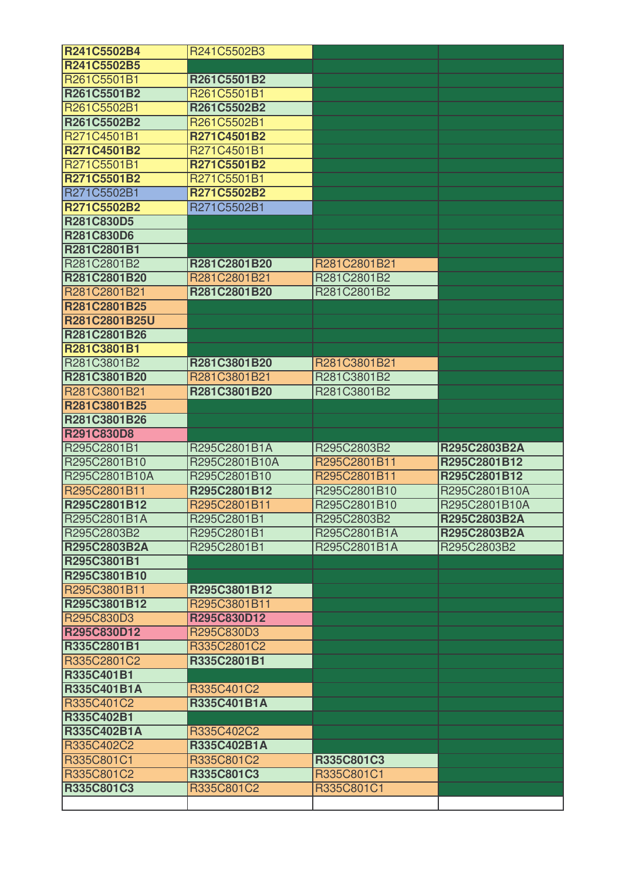| R241C5502B4                       | R241C5502B3               |              |               |
|-----------------------------------|---------------------------|--------------|---------------|
| R241C5502B5                       |                           |              |               |
| R261C5501B1                       | R261C5501B2               |              |               |
| R261C5501B2                       | R261C5501B1               |              |               |
| R261C5502B1                       | R261C5502B2               |              |               |
| R261C5502B2                       | R261C5502B1               |              |               |
| R271C4501B1                       | R271C4501B2               |              |               |
| R271C4501B2                       | R271C4501B1               |              |               |
| R271C5501B1                       | R271C5501B2               |              |               |
| <b>R271C5501B2</b>                | R271C5501B1               |              |               |
| R271C5502B1                       | R271C5502B2               |              |               |
| <b>R271C5502B2</b>                | R271C5502B1               |              |               |
| <b>R281C830D5</b>                 |                           |              |               |
| <b>R281C830D6</b>                 |                           |              |               |
| R281C2801B1                       |                           |              |               |
| R281C2801B2                       | R281C2801B20              | R281C2801B21 |               |
| R281C2801B20                      | R281C2801B21              | R281C2801B2  |               |
| R281C2801B21                      | R281C2801B20              | R281C2801B2  |               |
| R281C2801B25                      |                           |              |               |
| <b>R281C2801B25U</b>              |                           |              |               |
| R281C2801B26                      |                           |              |               |
| R281C3801B1                       |                           |              |               |
| R281C3801B2                       | R281C3801B20              | R281C3801B21 |               |
| R281C3801B20                      | R281C3801B21              | R281C3801B2  |               |
| R281C3801B21                      | R281C3801B20              | R281C3801B2  |               |
| R281C3801B25                      |                           |              |               |
| R281C3801B26                      |                           |              |               |
| <b>R291C830D8</b>                 |                           |              |               |
| R295C2801B1                       | R295C2801B1A              | R295C2803B2  | R295C2803B2A  |
| R295C2801B10                      | R295C2801B10A             | R295C2801B11 | R295C2801B12  |
| R295C2801B10A                     | R295C2801B10              | R295C2801B11 | R295C2801B12  |
| R295C2801B11                      | R295C2801B12              | R295C2801B10 | R295C2801B10A |
| R295C2801B12                      | R295C2801B11              | R295C2801B10 | R295C2801B10A |
| R295C2801B1A                      | R295C2801B1               | R295C2803B2  | R295C2803B2A  |
| R295C2803B2                       | R295C2801B1               | R295C2801B1A | R295C2803B2A  |
| R295C2803B2A                      | R295C2801B1               | R295C2801B1A | R295C2803B2   |
| R295C3801B1                       |                           |              |               |
| R295C3801B10                      |                           |              |               |
| R295C3801B11                      | R295C3801B12              |              |               |
| R295C3801B12                      | R295C3801B11              |              |               |
| R295C830D3                        | R295C830D12               |              |               |
| <b>R295C830D12</b><br>R335C2801B1 | R295C830D3<br>R335C2801C2 |              |               |
| R335C2801C2                       | R335C2801B1               |              |               |
| <b>R335C401B1</b>                 |                           |              |               |
| <b>R335C401B1A</b>                | R335C401C2                |              |               |
| R335C401C2                        | R335C401B1A               |              |               |
| <b>R335C402B1</b>                 |                           |              |               |
| <b>R335C402B1A</b>                | R335C402C2                |              |               |
| R335C402C2                        | R335C402B1A               |              |               |
| R335C801C1                        | R335C801C2                | R335C801C3   |               |
| R335C801C2                        | R335C801C3                | R335C801C1   |               |
| R335C801C3                        | R335C801C2                | R335C801C1   |               |
|                                   |                           |              |               |